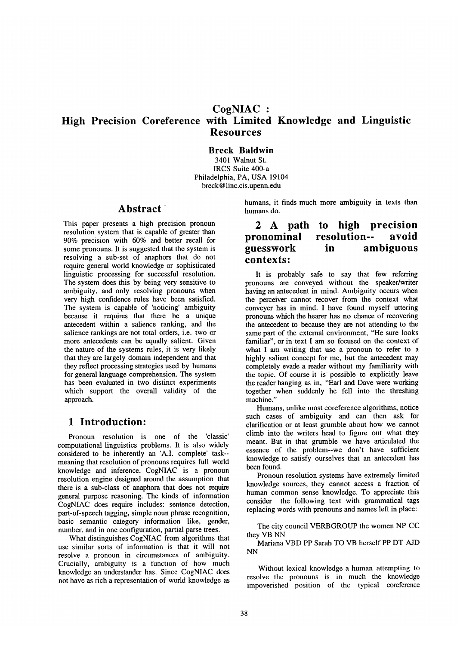# **High Precision Coreference with Limited Knowledge and Linguistic Resources**

# **Breck Baldwin**

3401 Walnut St. IRCS Suite 400-a Philadelphia, PA, USA 19104 breck@ linc.cis.upenn.edu

# **Abstract "**

This paper presents a high precision pronoun resolution system that is capable of greater than 90% precision with 60% and better recall for some pronouns. It is suggested that the system is resolving a sub-set of anaphors that do not require general world knowledge or sophisticated linguistic processing for successful resolution. The system does this by being very sensitive to ambiguity, and only resolving pronouns when very high confidence rules have been satisfied. The system is capable of 'noticing' ambiguity because it requires that there be a unique antecedent within a salience ranking, and the salience rankings are not total orders, i.e. two or more antecedents can be equally salient. Given the nature of the systems rules, it is very likely that they are largely domain independent and that they reflect processing strategies used by humans for general language comprehension. The system has been evaluated in two distinct experiments which support the overall validity of the approach.

# **1 Introduction:**

Pronoun resolution is one of the 'classic' computational linguistics problems. It is also widely considered to be inherently an 'A.I. complete' task- meaning that resolution of pronouns requires full world knowledge and inference. CogNIAC is a pronoun resolution engine designed around the assumption that there is a sub-class of anaphora that does not require general purpose reasoning. The kinds of information CogNIAC does require includes: sentence detection, part-of-speech tagging, simple noun phrase recognition, basic semantic category information like, gender, number, and in one configuration, partial parse trees.

What distinguishes CogNIAC from algorithms that use similar sorts of information is that it will not resolve a pronoun in circumstances of ambiguity. Crucially, ambiguity is a function of how much knowledge an understander has. Since CogNIAC does not have as rich a representation of world knowledge as

humans, it finds much more ambiguity in texts than humans do.

# **2 A path to high precision pronominal resolution-- avoid guesswork in ambiguous contexts:**

It is probably safe to say that few referring pronouns are conveyed without the speaker/writer having an antecedent in mind. Ambiguity occurs when the perceiver cannot recover from the context what conveyer has in mind. I have found myself uttering pronouns which the hearer has no chance of recovering the antecedent to because they are not attending to the same part of the external environment, "He sure looks familiar", or in text I am so focused on the context of what I am writing that use a pronoun to refer to a highly salient concept for me, but the antecedent may completely evade a reader without my familiarity with the topic. Of course it is possible to explicitly leave the reader hanging as in, "Earl and Dave were working together when suddenly he fell into the threshing machine."

Humans, unlike most coreference algorithms, notice such cases of ambiguity and can then ask for clarification or at least grumble about how we cannot climb into the writers head to figure out what they meant. But in that grumble we have articulated the essence of the problem--we don't have sufficient knowledge to satisfy ourselves that an antecedent has been found.

Pronoun resolution systems have extremely limited knowledge sources, they cannot access a fraction of human common sense knowledge. To appreciate this consider the following text with grammatical tags replacing words with pronouns and names left in place:

The city council VERBGROUP the women NP CC they VB NN

Mariana VBD PP Sarah TO VB herself PP DT AJD NN

Without lexical knowledge a human attempting to resolve the pronouns is in much the knowledge impoverished position of the typical coreference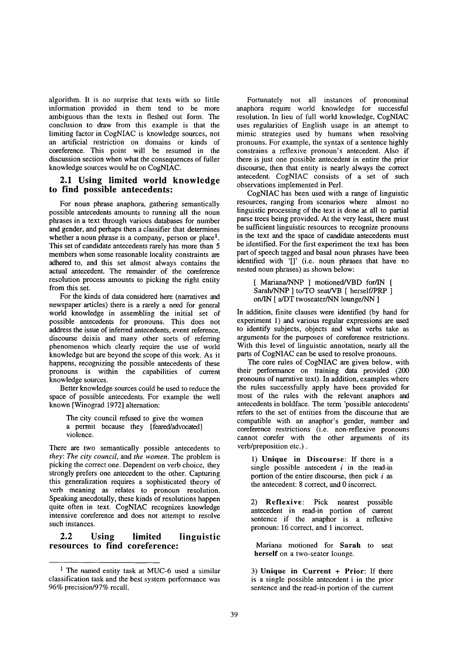algorithm. It is no surprise that texts with so little information provided in them tend to be more ambiguous than the texts in fleshed out form. The conclusion to draw from this example is that the limiting factor in CogNIAC is knowledge sources, not an artificial restriction on domains or kinds of coreference. This point will be resumed in the discussion section when what the consequences of fuller knowledge sources would be on CogNIAC.

## **2.1 Using limited world knowledge to find possible antecedents:**

For noun phrase anaphora, gathering semantically possible antecedents amounts to running all the noun phrases in a text through various databases for number and gender, and perhaps then a classifier that determines whether a noun phrase is a company, person or place<sup>1</sup>. This set of candidate antecedents rarely has more than 5 members when some reasonable locality constraints are adhered to, and this set almost always contains the actual antecedent. The remainder of the coreference resolution process amounts to picking the right entity from this set.

For the kinds of data considered here (narratives and newspaper articles) there is a rarely a need for general world knowledge in assembling the initial set of possible antecedents for pronouns. This does not address the issue of inferred antecedents, event reference, discourse deixis and many other sorts of referring phenomenon which clearly require the use of world knowledge but are beyond the scope of this work. As it happens, recognizing the possible antecedents of these pronouns is within the capabilities of current knowledge sources.

Better knowledge sources could be used to reduce the space of possible antecedents. For example the well known [Winograd 1972] alternation:

The city council refused to give the women a permit because they {feared/advocated} violence.

There are two semantically possible antecedents to *they: The city council,* and *the women.* The problem is picking the correct one. Dependent on verb choice, they strongly prefers one antecedent to the other. Capturing this generalization requires a sophisticated theory of verb meaning as relates to pronoun resolution. Speaking anecdotally, these kinds of resolutions happen quite often in text. CogNIAC recognizes knowledge intensive coreference and does not attempt to resolve such instances.

## **2.2 Using limited linguistic resources to find coreference:**

Fortunately not all instances of pronominal anaphora require world knowledge for successful resolution. In lieu of full world knowledge, CogNIAC uses regularities of English usage in an attempt to mimic strategies used by humans when resolving pronouns. For example, the syntax of a sentence highly constrains a reflexive pronoun's antecedent. Also if there is just one possible antecedent in entire the prior discourse, then that entity is nearly always the correct antecedent. CogNIAC consists of a set of such observations implemented in Perl.

CogNIAC has been used with a range of linguistic resources, ranging from scenarios where almost no linguistic processing of the text is done at all to partial parse trees being provided. At the very least, there must be sufficient linguistic resources to recognize pronouns in the text and the space of candidate antecedents must be identified. For the first experiment the text has been part of speech tagged and basal noun phrases have been identified with '[]' (i.e. noun phrases that have no nested noun phrases) as shown below:

[ Mariana/NNP ] motioned/VBD for/IN [ Sarah/NNP ] to/TO seat/VB [ herself/PRP ] on/IN [ a/DT twoseater/NN lounge/NN ]

In addition, finite clauses were identified (by hand for experiment 1) and various regular expressions are used to identify subjects, objects and what verbs take as arguments for the purposes of coreference restrictions. With this level of linguistic annotation, nearly all the parts of CogNIAC can be used to resolve pronouns.

The core rules of CogNIAC are given below, with their performance on training data provided (200 pronouns of narrative text). In addition, examples where the rules successfully apply have been provided for most of the rules with the relevant anaphors and antecedents in boldface. The term 'possible antecedents' refers to the set of entities from the discourse that are compatible with an anaphor's gender, number and coreference restrictions (i.e. non-reflexive pronouns cannot corefer with the other arguments of its verb/preposition etc.).

1) Unique **in Discourse:** If there is a single possible antecedent  $i$  in the read-in portion of the entire discourse, then pick  $i$  as the antecedent: 8 correct, and 0 incorrect.

2) Reflexive: Pick nearest possible antecedent in read-in portion of current sentence if the anaphor is a reflexive pronoun: 16 correct, and I incorrect.

Mariana motioned for Sarah to seat **herself** on a two-seater lounge.

3) Unique in Current + Prior: If there is a single possible antecedent i in the prior sentence and the read-in portion of the current

<sup>&</sup>lt;sup>1</sup> The named entity task at MUC-6 used a similar classification task and the best system performance was 96% precision/97% recall.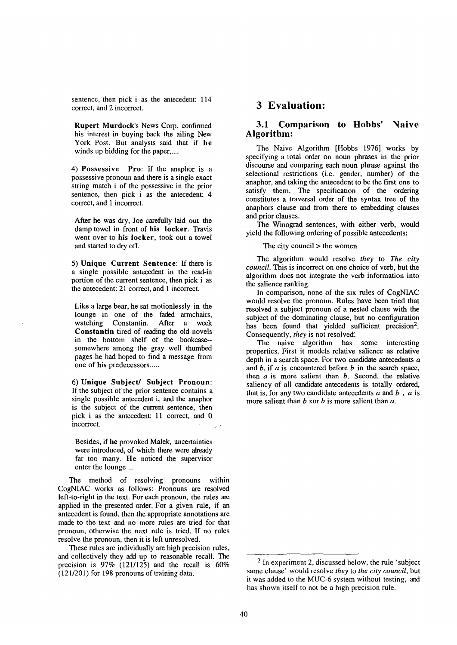sentence, then pick i as the antecedent: 114 correct, and 2 incorrect.

Rupert Murdock's News Corp. confirmed his interest in buying back the ailing New York Post. But analysts said that if **be**  winds up bidding for the paper,....

4) Possessive Pro: If the anaphor is a possessive pronoun and there is a single exact string match i of the possessive in the prior sentence, then pick i as the antecedent: 4 correct, and 1 incorrect.

After he was dry, Joe carefully laid out the damp towel in front of his locker. Travis went over to his locker, took out a towel and started to dry off.

5) **Unique Current Sentence:** If there is a single possible antecedent in the read-in portion of the current sentence, then pick i as the antecedent: 21 correct, and 1 incorrect.

Like a large bear, he sat motionlessly in the lounge in one of the faded armchairs, watching Constantin. After a week Constantin tired of reading the old novels in the bottom shelf of the bookcase- somewhere among the gray well thumbed pages he had hoped to find a message from one of his predecessors.....

**6) Unique Subject/ Subject Pronoun:**  If the subject of the prior sentence contains a single possible antecedent i, and the anaphor is the subject of the current sentence, then pick i as the antecedent: 11 correct, and 0 incorrect.

Besides, if he provoked Malek, uncertainties were introduced, of which there were already far too many. He noticed the supervisor enter the lounge ...

The method of resolving pronouns within CogNIAC works as follows: Pronouns are resolved left-to-right in the text. For each pronoun, the rules are applied in the presented order. For a given rule, if an antecedent is found, then the appropriate annotations are made to the text and no more rules are tried for that pronoun, otherwise the next rule is tried. If no rules resolve the pronoun, then it is left unresolved.

These rules are individually are high precision rules, and collectively they add up to reasonable recall. The precision is  $97\%$  (121/125) and the recall is  $60\%$ (121/201) for 198 pronouns of training data.

# **3 Evaluation:**

## **3.1 Comparison to Hobbs' Naive Algorithm:**

The Naive Algorithm [Hobbs 1976] works by specifying a total order on noun phrases in the prior discourse and comparing each noun phrase against the selectional restrictions (i.e. gender, number) of the anaphor, and taking the antecedent to be the first one to satisfy them. The specification of the ordering constitutes a traversal order of the syntax tree of the anaphors clause and from there to embedding clauses and prior clauses.

The Winograd sentences, with either verb, would yield the following ordering of possible antecedents:

The city council  $>$  the women

The algorithm would resolve *they* to *The city council.* This is incorrect on one choice of verb, but the algorithm does not integrate the verb information into the salience ranking.

In comparison, none of the six rules of CogNIAC would resolve the pronoun. Rules have been tried that resolved a subject pronoun of a nested clause with the subject of the dominating clause, but no configuration has been found that yielded sufficient precision<sup>2</sup>. Consequently, *they* is not resolved.

The naive algorithm has some interesting properties. First it models relative salience as relative depth in a search space. For two candidate antecedents a and  $b$ , if  $a$  is encountered before  $b$  in the search space, then  $a$  is more salient than  $b$ . Second, the relative saliency of all candidate antecedents is totally ordered, that is, for any two candidate antecedents  $a$  and  $b$ ,  $a$  is more salient than  $b$  xor  $b$  is more salient than  $a$ .

<sup>2</sup> In experiment 2, discussed below, the rule 'subject same clause' would resolve *they* to *the city council,* but it was added to the MUC-6 system without testing, and has shown itself to not be a high precision rule.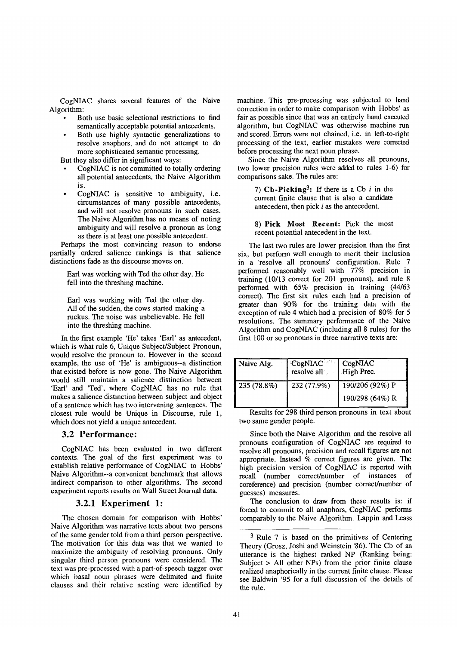CogNIAC shares several features of the Naive Algorithm:

- Both use basic selectional restrictions to find semantically acceptable potential antecedents.
- Both use highly syntactic generalizations to resolve anaphors, and do not attempt to do more sophisticated semantic processing.

But they also differ in significant ways:

- CogNIAC is not committed to totally ordering all potential antecedents, the Naive Algorithm is.
- CogNIAC is sensitive to ambiguity, i.e. circumstances of many possible antecedents, and will not resolve pronouns in such cases. The Naive Algorithm has no means of noting ambiguity and will resolve a pronoun as long as there is at least one possible antecedent.

Perhaps the most convincing reason to endorse partially ordered salience rankings is that salience distinctions fade as the discourse moves on.

Earl was working with Ted the other day. He fell into the threshing machine.

Earl was working with Ted the other day. All of the sudden, the cows started making a ruckus. The noise was unbelievable. He fell into the threshing machine.

In the first example 'He' takes 'Earl' as antecedent, which is what rule 6, Unique Subject/Subject Pronoun, would resolve the pronoun to. However in the second example, the use of 'He' is ambiguous--a distinction that existed before is now gone. The Naive Algorithm would still maintain a salience distinction between 'Earl' and 'Ted', where CogNIAC has no rule that makes a salience distinction between subject and object of a sentence which has two intervening sentences. The closest rule would be Unique in Discourse, rule 1, which does not yield a unique antecedent.

#### **3.2 Performance:**

CogNIAC has been evaluated in two different contexts. The goal of the first experiment was to establish relative performance of CogNIAC to Hobbs' Naive Algorithm--a convenient benchmark that allows indirect comparison to other algorithms. The second experiment reports results on Wall Street Journal data.

#### **3.2.1 Experiment 1:**

The chosen domain for comparison with Hobbs' Naive Algorithm was narrative texts about two persons of the same gender told from a third person perspective. The motivation for this data was that we wanted to maximize the ambiguity of resolving pronouns. Only singular third person pronouns were considered. The text was pre-processed with a part-of-speech tagger over which basal noun phrases were delimited and finite clauses and their relative nesting were identified by

machine. This pre-processing was subjected to hand correction in order to make comparison with Hobbs' as fair as possible since that was an entirely hand executed algorithm, but CogNIAC was otherwise machine run and scored. Errors were not chained, i.e. in left-to-right processing of the text, earlier mistakes were corrected before processing the next noun phrase.

Since the Naive Algorithm resolves all pronouns, two lower precision rules were added to rules 1-6) for comparisons sake. The rules are:

7) Cb-Picking<sup>3</sup>: If there is a Cb i in the current finite clause that is also a candidate antecedent, then pick i as the antecedent.

8) Pick Most Recent: Pick the most recent potential antecedent in the text.

The last two rules are lower precision than the first six, but perform well enough to merit their inclusion in a 'resolve all pronouns' configuration. Rule 7 performed reasonably well with 77% precision in training (10/13 correct for 201 pronouns), and rule 8 performed with 65% precision in training (44/63 correct). The first six rules each had a precision of greater than 90% for the training data with the exception of rule 4 which had a precision of 80% for 5 resolutions. The summary performance of the Naive Algorithm and CogNIAC (including all 8 rules) for the first 100 or so pronouns in three narrative texts are:

| Naive Alg.  | CogNIAC <sup>ord</sup> CogNIAC<br>resolve all | High Prec.      |
|-------------|-----------------------------------------------|-----------------|
| 235 (78.8%) | 232 (77.9%)                                   | 190/206 (92%) P |
|             |                                               | 190/298 (64%) R |

Results for 298 third person pronouns in text about two same gender people.

Since both the Naive Algorithm and the resolve all pronouns configuration of CogNIAC are required to resolve all pronouns, precision and recall figures are not appropriate. Instead % correct figures are given. The high precision version of CogNIAC is reported with recall (number correct/number of instances of coreference) and precision (number correct/number of guesses) measures.

The conclusion to draw from these results is: if forced to commit to all anaphors, CogNIAC performs comparably to the Naive Algorithm. Lappin and Leass

<sup>3</sup> Rule 7 is based on the primitives of Centering Theory (Grosz, Joshi and Weinstein '86). The Cb of an utterance is the highest ranked NP (Ranking being: Subject > All other NPs) from the prior finite clause realized anaphorically in the current finite clause. Please see Baldwin '95 for a full discussion of the details of the rule.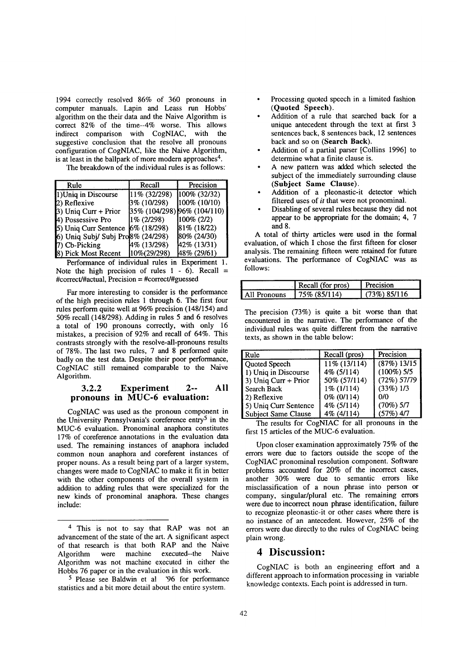1994 correctly resolved 86% of 360 pronouns in computer manuals. Lapin and Leass run Hobbs' algorithm on the their data and the Naive Algorithm is correct 82% of the time--4% worse. This allows indirect comparison with CogNIAC, with the suggestive conclusion that the resolve all pronouns configuration of CogNIAC, like the Naive Algorithm, is at least in the ballpark of more modern approaches<sup>4</sup>.

The breakdown of the individual rules is as follows:

| Rule                              | Recall         | Precision                   |
|-----------------------------------|----------------|-----------------------------|
| 1) Uniq in Discourse              | 11% (32/298)   | 100% (32/32)                |
| 2) Reflexive                      | 3% (10/298)    | 100% (10/10)                |
| $(3)$ Uniq Curr + Prior           |                | 35% (104/298) 96% (104/110) |
| 4) Possessive Pro                 | $1\%$ (2/298)  | $100\% (2/2)$               |
| 5) Uniq Curr Sentence             | $6\%$ (18/298) | 81% (18/22)                 |
| 6) Uniq Subj/ Subj Pro8% (24/298) |                | 80% (24/30)                 |
| 7) Cb-Picking                     | 4% (13/298)    | $42\%$ (13/31)              |
| 8) Pick Most Recent               | 10%(29/298)    | 48% (29/61)                 |

Performance of individual rules in Experiment 1. Note the high precision of rules  $1 - 6$ ). Recall = #correct/#actual, Precision = #correct/#guessed

Far more interesting to consider is the performance of the high precision rules 1 through 6. The first four rules perform quite well at 96% precision (148/154) and 50% recall (148/298). Adding in rules 5 and 6 resolves a total of 190 pronouns correctly, with only 16 mistakes, a precision of 92% and recall of 64%. This contrasts strongly with the resolve-all-pronouns results of 78%. The last two rules, 7 and 8 performed quite badly on the test data. Despite their poor performance, CogNIAC still remained comparable to the Naive Algorithm.

#### **3.2.2 Experiment 2-- All pronouns in MUC-6 evaluation:**

CogNIAC was used as the pronoun component in the University Pennsylvania's coreference entry<sup>5</sup> in the MUC-6 evaluation. Pronominal anaphora constitutes 17% of coreference annotations in the evaluation data used. The remaining instances of anaphora included common noun anaphora and coreferent instances of proper nouns. As a result being part of a larger system, changes were made to CogNIAC to make it fit in better with the other components of the overall system in addition to adding rules that were specialized for the new kinds of pronominal anaphora. These changes include:

- Processing quoted speech in a limited fashion (Quoted Speech).
- Addition of a rule that searched back for a unique antecedent through the text at first 3 sentences back, 8 sentences back, 12 sentences back and so on (Search Back).
- Addition of a partial parser [Collins 1996] to determine what a finite clause is.
- A new pattern was added which selected the subject of the immediately surrounding clause (Subject Same Clause).
- Addition of a pleonastic-it detector which filtered uses of *it* that were not pronominal.
- Disabling of several rules because they did not appear to be appropriate for the domain; 4, 7 and 8.

A total of thirty articles were used in the formal evaluation, of which I chose the first fifteen for closer analysis. The remaining fifteen were retained for future evaluations. The performance of CogNIAC was as follows:

|                     | Recall (for pros) | Precision       |
|---------------------|-------------------|-----------------|
| <b>All Pronouns</b> | 75% (85/114)      | $(73\%)$ 85/116 |

The precision (73%) is quite a bit worse than that encountered in the narrative. The performance of the individual rules was quite different from the narrative texts, as shown in the table below:

| Rule                  | Recall (pros) | Precision      |
|-----------------------|---------------|----------------|
| Quoted Speech         | 11% (13/114)  | $(87%)$ 13/15  |
| 1) Uniq in Discourse  | 4% (5/114)    | $(100\%)$ 5/5  |
| 3) Uniq Curr + Prior  | 50% (57/114)  | $(72\%) 57/79$ |
| Search Back           | $1\%$ (1/114) | (33%) 1/3      |
| 2) Reflexive          | 0% (0/114)    | 0/0            |
| 5) Uniq Curr Sentence | 4% (5/114)    | $(70\%) 5/7$   |
| Subject Same Clause   | 4% (4/114)    | (57%) 4/7      |

The results for CogNIAC for all pronouns in the first 15 articles of the MUC-6 evaluation.

Upon closer examination approximately 75% of the errors were due to factors outside the scope of the CogNIAC pronominal resolution component. Software problems accounted for 20% of the incorrect cases, another 30% were due to semantic errors like misclassification of a noun phrase into person or company, singular/plural etc. The remaining errors were due to incorrect noun phrase identification, failure to recognize pleonastic-it or other cases where there is no instance of an antecedent. However, 25% of the errors were due directly to the rules of CogNIAC being plain wrong.

# **4 Discussion:**

CogNIAC is both an engineering effort and a different approach to information processing in variable knowledge contexts. Each point is addressed in turn.

<sup>4</sup> This is not to say that RAP was not an advancement of the state of the art. A significant aspect of that research is that both RAP and the Naive Algorithm were machine executed--the Naive Algorithm was not machine executed in either the Hobbs 76 paper or in the evaluation in this work.

<sup>5</sup> Please see Baldwin et al '96 for performance statistics and a bit more detail about the entire system.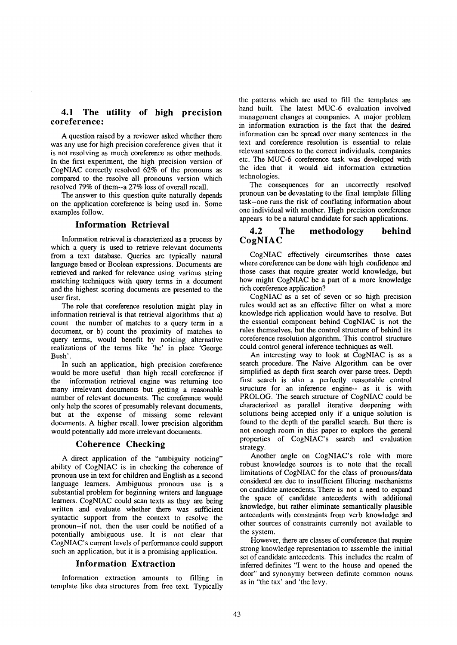# **4.1 The utility of high precision coreference:**

A question raised by a reviewer asked whether there was any use for high precision coreference given that it is not resolving as much coreference as other methods. In the first experiment, the high precision version of CogNIAC correctly resolved 62% of the pronouns as compared to the resolve all pronouns version which resolved 79% of them--a 27% loss of overall recall.

The answer to this question quite naturally depends on the application coreference is being used in. Some examples follow.

## **Information Retrieval**

Information retrieval is characterized as a process by which a query is used to retrieve relevant documents from a text database. Queries are typically natural language based or Boolean expressions. Documents are retrieved and ranked for relevance using various string matching techniques with query terms in a document and the highest scoring documents are presented to the user first.

The role that coreference resolution might play in information retrieval is that retrieval algorithms that a) count the number of matches to a query term in a document, or b) count the proximity of matches to query terms, would benefit by noticing alternative realizations of the terms like 'he' in place 'George Bush'.

In such an application, high precision coreference would be more useful than high recall coreference if the information retrieval engine was returning too many irrelevant documents but getting a reasonable number of relevant documents. The coreference would only help the scores of presumably relevant documents, but at the expense of missing some relevant documents. A higher recall, lower precision algorithm would potentially add more irrelevant documents.

#### **Coherence Checking**

A direct application of the "ambiguity noticing" ability of CogNIAC is in checking the coherence of pronoun use in text for children and English as a second language learners. Ambiguous pronoun use is a substantial problem for beginning writers and language learners. CogNIAC could scan texts as they are being written and evaluate whether there was sufficient syntactic support from the context to resolve the pronoun--if not, then the user could be notified of a potentially ambiguous use. It is not clear that CogNIAC's current levels of performance could support such an application, but it is a promising application.

#### **Information Extraction**

Information extraction amounts to filling in template like data structures from free text. Typically

the patterns which are used to fill the templates are hand built. The latest MUC-6 evaluation involved management changes at companies. A major problem in information extraction is the fact that the desired information can be spread over many sentences in the text and coreference resolution is essential to relate relevant sentences to the correct individuals, companies etc. The MUC-6 coreference task was developed with the idea that it would aid information extraction technologies.

The consequences for an incorrectly resolved pronoun can be devastating to the final template filling task--one runs the risk of conflating information about one individual with another. High precision coreference appears to be a natural candidate for such applications.

## **4.2 The methodology behind CogNIAC**

CogNIAC effectively circumscribes those cases where coreference can be done with high confidence and those cases that require greater world knowledge, but how might CogNIAC be a part of a more knowledge rich coreference application?

CogNIAC as a set of seven or so high precision rules would act as an effective filter on what a more knowledge rich application would have to resolve. But the essential component behind CogNIAC is not the rules themselves, but the control structure of behind its coreference resolution algorithm. This control structure could control general inference techniques as well.

An interesting way to look at CogNIAC is as a search procedure. The Naive Algorithm can be over simplified as depth first search over parse trees. Depth first search is also a perfectly reasonable control structure for an inference engine-- as it is with PROLOG. The search structure of CogNIAC could be characterized as parallel iterative deepening with solutions being accepted only if a unique solution is found to the depth of the parallel search. But there is not enough room in this paper to explore the general properties of CogNIAC's search and evaluation strategy.

Another angle on CogNIAC's role with more robust knowledge sources is to note that the recall limitations of CogNIAC for the class of pronouns/data considered are due to insufficient filtering mechanisms on candidate antecedents. There is not a need to expand the space of candidate antecedents with additional knowledge, but rather eliminate semantically plausible antecedents with constraints from verb knowledge and other sources of constraints currently not available to the system.

However, there are classes of coreference that require strong knowledge representation to assemble the initial set of candidate antecedents. This includes the realm of inferred definites "I went to the house and opened the door" and synonymy between definite common nouns as in "the tax' and 'the levy.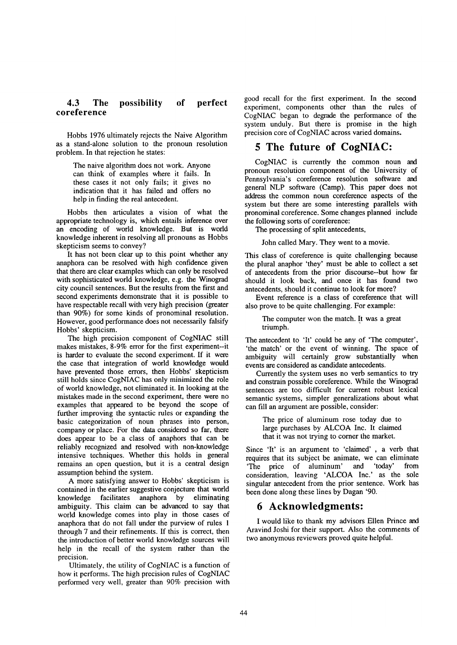#### **4.3 The possibility of perfect coreference**

Hobbs 1976 ultimately rejects the Naive Algorithm as a stand-alone solution to the pronoun resolution problem. In that rejection he states:

The naive algorithm does not work. Anyone can think of examples where it fails. In these cases it not only fails; it gives no indication that it has failed and offers no help in finding the real antecedent.

Hobbs then articulates a vision of what the appropriate technology is, which entails inference over an encoding of world knowledge. But is world knowledge inherent in resolving all pronouns as Hobbs skepticism seems to convey?

It has not been clear up to this point whether any anaphora can be resolved with high confidence given that there are clear examples which can only be resolved with sophisticated world knowledge, e.g. the Winograd city council sentences. But the results from the first and second experiments demonstrate that it is possible to have respectable recall with very high precision (greater than 90%) for some kinds of pronominal resolution. However, good performance does not necessarily falsify Hobbs' skepticism.

The high precision component of CogNIAC still makes mistakes, 8-9% error for the first experiment--it is harder to evaluate the second experiment. If it were the case that integration of world knowledge would have prevented those errors, then Hobbs' skepticism still holds since CogNIAC has only minimized the role of world knowledge, not eliminated it. In looking at the mistakes made in the second experiment, there were no examples that appeared to be beyond the scope of further improving the syntactic rules or expanding the basic categorization of noun phrases into person, company or place. For the data considered so far, there does appear to be a class of anaphors that can be reliably recognized and resolved with non-knowledge intensive techniques. Whether this holds in general remains an open question, but it is a central design assumption behind the system.

A more satisfying answer to Hobbs' skepticism is contained in the earlier suggestive conjecture that world knowledge facilitates anaphora by eliminating ambiguity. This claim can be advanced to say that world knowledge comes into play in those cases of anaphora that do not fall under the purview of rules 1 through 7 and their refinements. If this is correct, then the introduction of better world knowledge sources will help in the recall of the system rather than the precision.

Ultimately, the utility of CogNIAC is a function of how it performs. The high precision rules of CogNIAC performed very well, greater than 90% precision with good recall for the first experiment. In the second experiment, components other than the rules of CogNIAC began to degrade the performance of the system unduly. But there is promise in the high precision core of CogNIAC across varied domains.

# **5 The future of CogNIAC:**

CogNIAC is currently the common noun and pronoun resolution component of the University of Pennsylvania's coreference resolution software and general NLP software (Camp). This paper does not address the common noun coreference aspects of **the**  system but there are some interesting parallels with pronominal coreference. Some changes planned include the following sorts of coreference:

The processing of split antecedents,

John called Mary. They went to a movie.

This class of coreference is quite challenging because the plural anaphor 'they' must be able to collect a **set**  of antecedents from the prior discourse--but how far should it look back, and once it has found two antecedents, should it continue to look for more?

Event reference is a class of coreference that will also prove to be quite challenging. For example:

The computer won the match. It was a great triumph.

The antecedent to 'It' could be any of 'The computer', 'the match' or the event of winning. The space of ambiguity will certainly grow substantially when events are considered as candidate antecedents.

Currently the system uses no verb semantics to try and constrain possible coreference. While the Winograd sentences are too difficult for current robust lexical semantic systems, simpler generalizations about what can fill an argument are possible, consider:

The price of aluminum rose today due to large purchases by ALCOA Inc. It claimed that it was not trying to corner the market.

Since 'It' is an argument to 'claimed' , a verb that requires that its subject be animate, we can eliminate 'The price of aluminum' and 'today' from consideration, leaving 'ALCOA Inc.' as the sole singular antecedent from the prior sentence. Work has been done along these lines by Dagan '90.

# **6 Acknowledgments:**

I would like to thank my advisors Ellen Prince and Aravind Joshi for their support. Also the comments of two anonymous reviewers proved quite helpful.